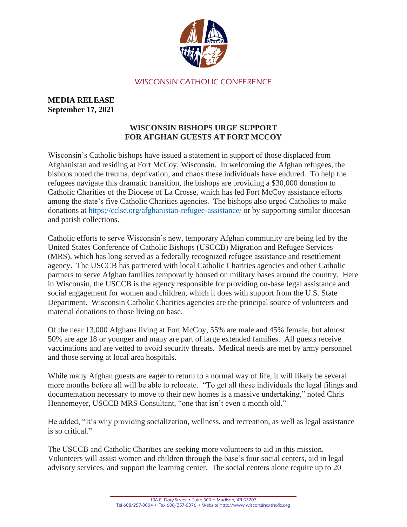

## WISCONSIN CATHOLIC CONFERENCE

## **MEDIA RELEASE September 17, 2021**

## **WISCONSIN BISHOPS URGE SUPPORT FOR AFGHAN GUESTS AT FORT MCCOY**

Wisconsin's Catholic bishops have issued a statement in support of those displaced from Afghanistan and residing at Fort McCoy, Wisconsin. In welcoming the Afghan refugees, the bishops noted the trauma, deprivation, and chaos these individuals have endured. To help the refugees navigate this dramatic transition, the bishops are providing a \$30,000 donation to Catholic Charities of the Diocese of La Crosse, which has led Fort McCoy assistance efforts among the state's five Catholic Charities agencies. The bishops also urged Catholics to make donations at<https://cclse.org/afghanistan-refugee-assistance/> or by supporting similar diocesan and parish collections.

Catholic efforts to serve Wisconsin's new, temporary Afghan community are being led by the United States Conference of Catholic Bishops (USCCB) Migration and Refugee Services (MRS), which has long served as a federally recognized refugee assistance and resettlement agency. The USCCB has partnered with local Catholic Charities agencies and other Catholic partners to serve Afghan families temporarily housed on military bases around the country. Here in Wisconsin, the USCCB is the agency responsible for providing on-base legal assistance and social engagement for women and children, which it does with support from the U.S. State Department. Wisconsin Catholic Charities agencies are the principal source of volunteers and material donations to those living on base.

Of the near 13,000 Afghans living at Fort McCoy, 55% are male and 45% female, but almost 50% are age 18 or younger and many are part of large extended families. All guests receive vaccinations and are vetted to avoid security threats. Medical needs are met by army personnel and those serving at local area hospitals.

While many Afghan guests are eager to return to a normal way of life, it will likely be several more months before all will be able to relocate. "To get all these individuals the legal filings and documentation necessary to move to their new homes is a massive undertaking," noted Chris Hennemeyer, USCCB MRS Consultant, "one that isn't even a month old."

He added, "It's why providing socialization, wellness, and recreation, as well as legal assistance is so critical."

The USCCB and Catholic Charities are seeking more volunteers to aid in this mission. Volunteers will assist women and children through the base's four social centers, aid in legal advisory services, and support the learning center. The social centers alone require up to 20